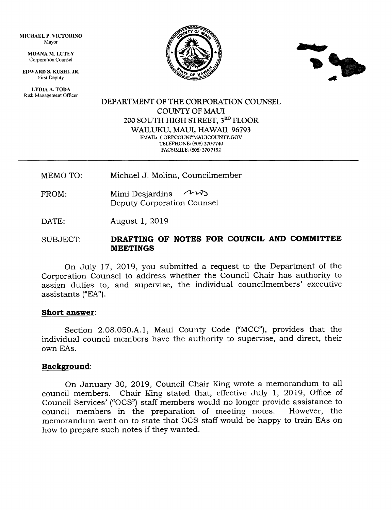MICHAEL P, VICTORINO Mayor

> MOANA M. LUTEY Corporatlon Counsel

EDWARD S, KUSHI, JR. First Deputy

LYDIA A. TODA Risk Management Officer





### DEPARTMENT OF THE CORPORATION COUNSEL COUNTY OF MAUI 200 SOUTH HIGH STREET, 3RD FLOOR WAILUKU, MAUI, HAWAII 96793 EMAIL: CORPCOUN@MAUICOUNTY.GOV TELEPHONE: (808) 270-7740 FACSIMILE: (808) 270-7152

MEMO TO: Michael J. Molina, Councilmember

- $FROM:$  Mimi Desjardins  $\sim$ Deputy Corporation Counsel
- DATE: August 1, 2019

# SUBJECT: DRAFTING OF NOTES FOR COUNCIL AND COMMITTEE MEETINGS

On July t7, 2019, you submitted a request to the Department of the Corporation Counsel to address whether the Council Chair has authority to assign duties to, and supervise, the individual councilmembers' executive assistants ("EA").

#### Short answer

Section 2.08.050.A.1, Maui County Code ("MCC"), provides that the individual council members have the authority to supervise, and direct, their OWN EAS.

#### Background:

On January 30, 2019, Council Chair King wrote a memorandum to all council members. Chair King stated that, effective July L, 2019, Office of Council Services' ("OCS") staff members would no longer provide assistance to council members in the preparation of meeting notes. memorandum went on to state that OCS staff would be happy to train EAs on how to prepare such notes if they wanted.